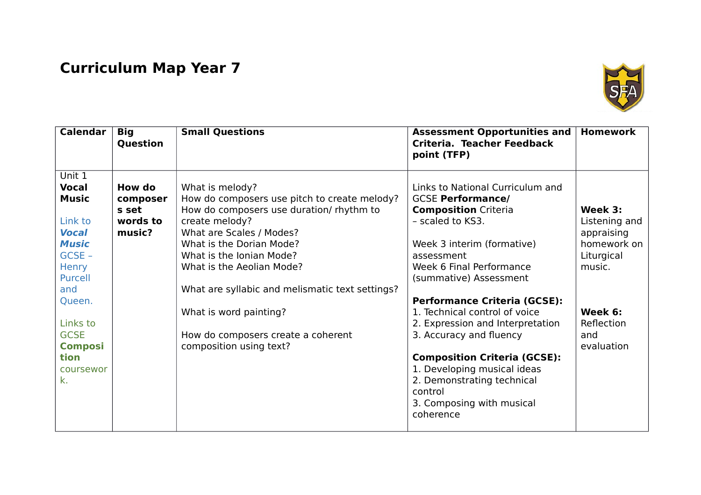## **Curriculum Map Year 7**



| <b>Calendar</b>                                                                                                                                                                                                   | <b>Big</b><br>Question                            | <b>Small Questions</b>                                                                                                                                                                                                                                                                                                                                                                       | <b>Assessment Opportunities and</b><br>Criteria. Teacher Feedback<br>point (TFP)                                                                                                                                                                                                                                                                                                                                                                                                                                  | <b>Homework</b>                                                                                                             |
|-------------------------------------------------------------------------------------------------------------------------------------------------------------------------------------------------------------------|---------------------------------------------------|----------------------------------------------------------------------------------------------------------------------------------------------------------------------------------------------------------------------------------------------------------------------------------------------------------------------------------------------------------------------------------------------|-------------------------------------------------------------------------------------------------------------------------------------------------------------------------------------------------------------------------------------------------------------------------------------------------------------------------------------------------------------------------------------------------------------------------------------------------------------------------------------------------------------------|-----------------------------------------------------------------------------------------------------------------------------|
| Unit 1<br><b>Vocal</b><br><b>Music</b><br>Link to<br><b>Vocal</b><br><b>Music</b><br>$GCSE -$<br><b>Henry</b><br>Purcell<br>and<br>Queen.<br>Links to<br><b>GCSE</b><br><b>Composi</b><br>tion<br>coursewor<br>k. | How do<br>composer<br>s set<br>words to<br>music? | What is melody?<br>How do composers use pitch to create melody?<br>How do composers use duration/ rhythm to<br>create melody?<br>What are Scales / Modes?<br>What is the Dorian Mode?<br>What is the Ionian Mode?<br>What is the Aeolian Mode?<br>What are syllabic and melismatic text settings?<br>What is word painting?<br>How do composers create a coherent<br>composition using text? | Links to National Curriculum and<br><b>GCSE Performance/</b><br><b>Composition Criteria</b><br>- scaled to KS3.<br>Week 3 interim (formative)<br>assessment<br>Week 6 Final Performance<br>(summative) Assessment<br><b>Performance Criteria (GCSE):</b><br>1. Technical control of voice<br>2. Expression and Interpretation<br>3. Accuracy and fluency<br><b>Composition Criteria (GCSE):</b><br>1. Developing musical ideas<br>2. Demonstrating technical<br>control<br>3. Composing with musical<br>coherence | Week 3:<br>Listening and<br>appraising<br>homework on<br>Liturgical<br>music.<br>Week 6:<br>Reflection<br>and<br>evaluation |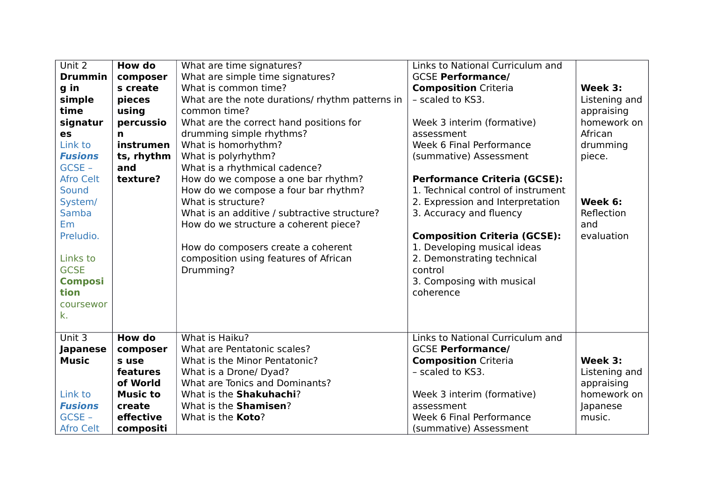| Unit 2           | How do          | What are time signatures?                       | Links to National Curriculum and    |               |
|------------------|-----------------|-------------------------------------------------|-------------------------------------|---------------|
| <b>Drummin</b>   | composer        | What are simple time signatures?                | <b>GCSE Performance/</b>            |               |
| g in             | s create        | What is common time?                            | <b>Composition Criteria</b>         | Week 3:       |
| simple           | pieces          | What are the note durations/ rhythm patterns in | - scaled to KS3.                    | Listening and |
| time             | using           | common time?                                    |                                     | appraising    |
| signatur         | percussio       | What are the correct hand positions for         | Week 3 interim (formative)          | homework on   |
| es               | n               | drumming simple rhythms?                        | assessment                          | African       |
| Link to          | instrumen       | What is homorhythm?                             | Week 6 Final Performance            | drumming      |
| <b>Fusions</b>   | ts, rhythm      | What is polyrhythm?                             | (summative) Assessment              | piece.        |
| $GCSE -$         | and             | What is a rhythmical cadence?                   |                                     |               |
| <b>Afro Celt</b> | texture?        | How do we compose a one bar rhythm?             | <b>Performance Criteria (GCSE):</b> |               |
| <b>Sound</b>     |                 | How do we compose a four bar rhythm?            | 1. Technical control of instrument  |               |
| System/          |                 | What is structure?                              | 2. Expression and Interpretation    | Week 6:       |
| Samba            |                 | What is an additive / subtractive structure?    | 3. Accuracy and fluency             | Reflection    |
| <b>Em</b>        |                 | How do we structure a coherent piece?           |                                     | and           |
| Preludio.        |                 |                                                 | <b>Composition Criteria (GCSE):</b> | evaluation    |
|                  |                 | How do composers create a coherent              | 1. Developing musical ideas         |               |
| Links to         |                 | composition using features of African           | 2. Demonstrating technical          |               |
| <b>GCSE</b>      |                 | Drumming?                                       | control                             |               |
| <b>Composi</b>   |                 |                                                 | 3. Composing with musical           |               |
| tion             |                 |                                                 | coherence                           |               |
| coursewor        |                 |                                                 |                                     |               |
| k.               |                 |                                                 |                                     |               |
|                  |                 |                                                 |                                     |               |
| Unit $3$         | How do          | What is Haiku?                                  | Links to National Curriculum and    |               |
| Japanese         | composer        | What are Pentatonic scales?                     | <b>GCSE Performance/</b>            |               |
| <b>Music</b>     | s use           | What is the Minor Pentatonic?                   | <b>Composition Criteria</b>         | Week 3:       |
|                  | features        | What is a Drone/ Dyad?                          | - scaled to KS3.                    | Listening and |
|                  | of World        | What are Tonics and Dominants?                  |                                     | appraising    |
| Link to          | <b>Music to</b> | What is the Shakuhachi?                         | Week 3 interim (formative)          | homework on   |
| <b>Fusions</b>   | create          | What is the Shamisen?                           | assessment                          | Japanese      |
| $GCSE -$         | effective       | What is the <b>Koto</b> ?                       | Week 6 Final Performance            | music.        |
| <b>Afro Celt</b> | compositi       |                                                 | (summative) Assessment              |               |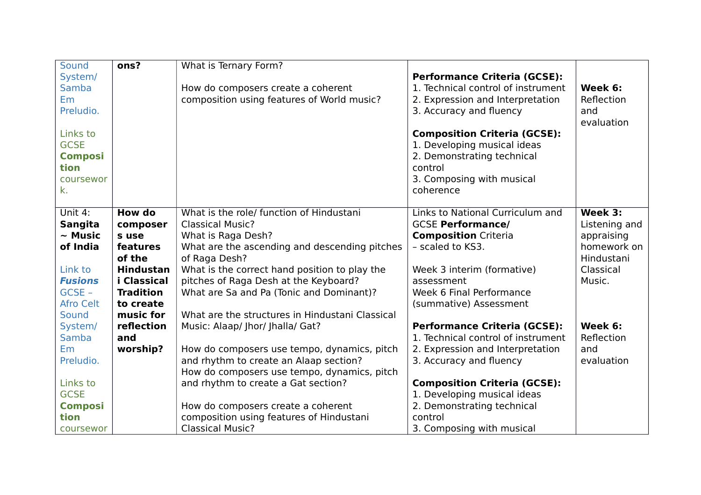| Sound            | ons?              | What is Ternary Form?                           |                                                                           |               |
|------------------|-------------------|-------------------------------------------------|---------------------------------------------------------------------------|---------------|
| System/          |                   |                                                 | <b>Performance Criteria (GCSE):</b>                                       |               |
| Samba            |                   | How do composers create a coherent              | 1. Technical control of instrument                                        | Week 6:       |
| <b>Em</b>        |                   | composition using features of World music?      | 2. Expression and Interpretation                                          | Reflection    |
| Preludio.        |                   |                                                 | 3. Accuracy and fluency                                                   | and           |
|                  |                   |                                                 |                                                                           | evaluation    |
| Links to         |                   |                                                 | <b>Composition Criteria (GCSE):</b>                                       |               |
| <b>GCSE</b>      |                   |                                                 | 1. Developing musical ideas                                               |               |
| <b>Composi</b>   |                   |                                                 | 2. Demonstrating technical                                                |               |
| tion             |                   |                                                 | control                                                                   |               |
| coursewor        |                   |                                                 | 3. Composing with musical                                                 |               |
| k.               |                   |                                                 | coherence                                                                 |               |
|                  |                   |                                                 |                                                                           |               |
| Unit 4:          | <b>How do</b>     | What is the role/ function of Hindustani        | Links to National Curriculum and                                          | Week 3:       |
| <b>Sangita</b>   | composer          | <b>Classical Music?</b>                         | <b>GCSE Performance/</b>                                                  | Listening and |
| $\sim$ Music     | s use             | What is Raga Desh?                              | <b>Composition Criteria</b>                                               | appraising    |
| of India         | features          | What are the ascending and descending pitches   | - scaled to KS3.                                                          | homework on   |
|                  | of the            | of Raga Desh?                                   |                                                                           | Hindustani    |
| Link to          | <b>Hindustan</b>  | What is the correct hand position to play the   | Week 3 interim (formative)                                                | Classical     |
| <b>Fusions</b>   | i Classical       | pitches of Raga Desh at the Keyboard?           | assessment                                                                | Music.        |
| GCSE-            | <b>Tradition</b>  | What are Sa and Pa (Tonic and Dominant)?        | Week 6 Final Performance                                                  |               |
| <b>Afro Celt</b> | to create         |                                                 | (summative) Assessment                                                    |               |
| Sound            | music for         | What are the structures in Hindustani Classical |                                                                           | Week 6:       |
| System/<br>Samba | reflection<br>and | Music: Alaap/ Jhor/ Jhalla/ Gat?                | <b>Performance Criteria (GCSE):</b><br>1. Technical control of instrument | Reflection    |
| <b>Em</b>        | worship?          | How do composers use tempo, dynamics, pitch     | 2. Expression and Interpretation                                          | and           |
| Preludio.        |                   | and rhythm to create an Alaap section?          | 3. Accuracy and fluency                                                   | evaluation    |
|                  |                   | How do composers use tempo, dynamics, pitch     |                                                                           |               |
| Links to         |                   | and rhythm to create a Gat section?             | <b>Composition Criteria (GCSE):</b>                                       |               |
| <b>GCSE</b>      |                   |                                                 | 1. Developing musical ideas                                               |               |
| <b>Composi</b>   |                   | How do composers create a coherent              | 2. Demonstrating technical                                                |               |
| tion             |                   | composition using features of Hindustani        | control                                                                   |               |
| coursewor        |                   | <b>Classical Music?</b>                         | 3. Composing with musical                                                 |               |
|                  |                   |                                                 |                                                                           |               |